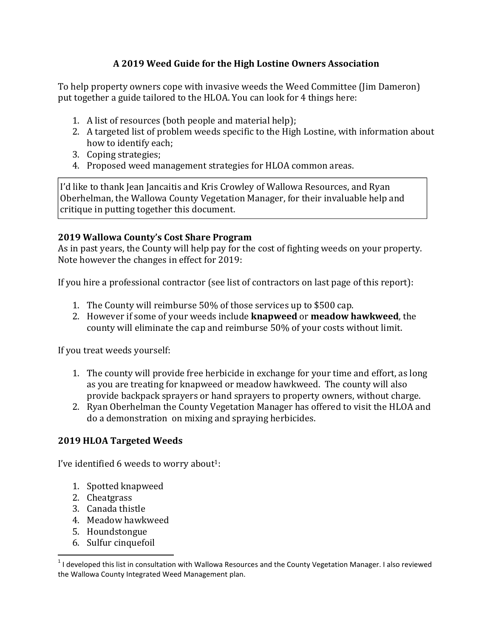# A 2019 Weed Guide for the High Lostine Owners Association

To help property owners cope with invasive weeds the Weed Committee (Jim Dameron) put together a guide tailored to the HLOA. You can look for 4 things here:

- 1. A list of resources (both people and material help);
- 2. A targeted list of problem weeds specific to the High Lostine, with information about how to identify each;
- 3. Coping strategies;
- 4. Proposed weed management strategies for HLOA common areas.

I'd like to thank Jean Jancaitis and Kris Crowley of Wallowa Resources, and Ryan Oberhelman, the Wallowa County Vegetation Manager, for their invaluable help and critique in putting together this document.

## 2019 Wallowa County's Cost Share Program

As in past years, the County will help pay for the cost of fighting weeds on your property. Note however the changes in effect for 2019:

If you hire a professional contractor (see list of contractors on last page of this report):

- 1. The County will reimburse 50% of those services up to \$500 cap.
- 2. However if some of your weeds include **knapweed** or **meadow hawkweed**, the county will eliminate the cap and reimburse 50% of your costs without limit.

If you treat weeds yourself:

- 1. The county will provide free herbicide in exchange for your time and effort, as long as you are treating for knapweed or meadow hawkweed. The county will also provide backpack sprayers or hand sprayers to property owners, without charge.
- 2. Ryan Oberhelman the County Vegetation Manager has offered to visit the HLOA and do a demonstration on mixing and spraying herbicides.

# 2019 HLOA Targeted Weeds

I've identified 6 weeds to worry about<sup>1</sup>:

- 1. Spotted knapweed
- 2. Cheatgrass

- 3. Canada thistle
- 4. Meadow hawkweed
- 5. Houndstongue
- 6. Sulfur cinquefoil

 $1$ I developed this list in consultation with Wallowa Resources and the County Vegetation Manager. I also reviewed the Wallowa County Integrated Weed Management plan.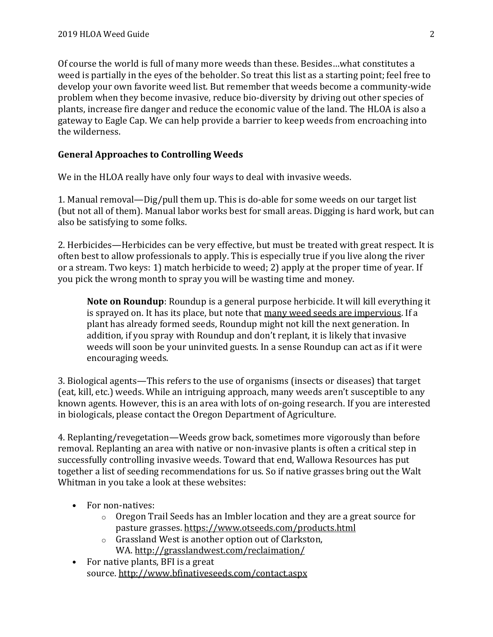Of course the world is full of many more weeds than these. Besides…what constitutes a weed is partially in the eyes of the beholder. So treat this list as a starting point; feel free to develop your own favorite weed list. But remember that weeds become a community-wide problem when they become invasive, reduce bio-diversity by driving out other species of plants, increase fire danger and reduce the economic value of the land. The HLOA is also a gateway to Eagle Cap. We can help provide a barrier to keep weeds from encroaching into the wilderness.

### General Approaches to Controlling Weeds

We in the HLOA really have only four ways to deal with invasive weeds.

1. Manual removal—Dig/pull them up. This is do-able for some weeds on our target list (but not all of them). Manual labor works best for small areas. Digging is hard work, but can also be satisfying to some folks.

2. Herbicides—Herbicides can be very effective, but must be treated with great respect. It is often best to allow professionals to apply. This is especially true if you live along the river or a stream. Two keys: 1) match herbicide to weed; 2) apply at the proper time of year. If you pick the wrong month to spray you will be wasting time and money.

Note on Roundup: Roundup is a general purpose herbicide. It will kill everything it is sprayed on. It has its place, but note that many weed seeds are impervious. If a plant has already formed seeds, Roundup might not kill the next generation. In addition, if you spray with Roundup and don't replant, it is likely that invasive weeds will soon be your uninvited guests. In a sense Roundup can act as if it were encouraging weeds.

3. Biological agents—This refers to the use of organisms (insects or diseases) that target (eat, kill, etc.) weeds. While an intriguing approach, many weeds aren't susceptible to any known agents. However, this is an area with lots of on-going research. If you are interested in biologicals, please contact the Oregon Department of Agriculture.

4. Replanting/revegetation—Weeds grow back, sometimes more vigorously than before removal. Replanting an area with native or non-invasive plants is often a critical step in successfully controlling invasive weeds. Toward that end, Wallowa Resources has put together a list of seeding recommendations for us. So if native grasses bring out the Walt Whitman in you take a look at these websites:

- For non-natives:
	- o Oregon Trail Seeds has an Imbler location and they are a great source for pasture grasses. https://www.otseeds.com/products.html
	- o Grassland West is another option out of Clarkston, WA. http://grasslandwest.com/reclaimation/
- For native plants, BFI is a great source. http://www.bfinativeseeds.com/contact.aspx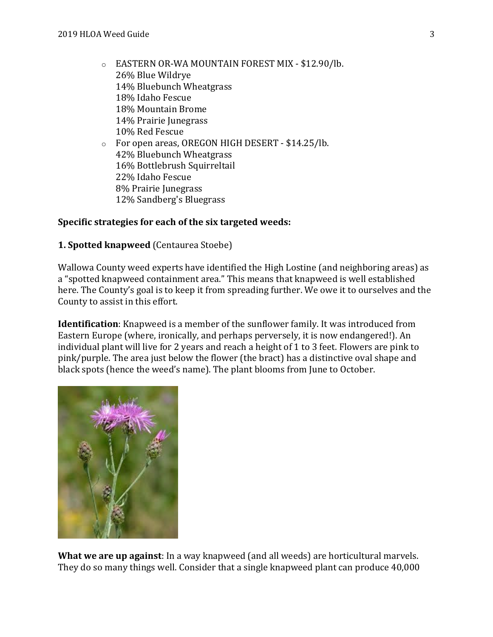o EASTERN OR-WA MOUNTAIN FOREST MIX - \$12.90/lb. 26% Blue Wildrye 14% Bluebunch Wheatgrass 18% Idaho Fescue 18% Mountain Brome 14% Prairie Junegrass 10% Red Fescue o For open areas, OREGON HIGH DESERT - \$14.25/lb. 42% Bluebunch Wheatgrass 16% Bottlebrush Squirreltail 22% Idaho Fescue 8% Prairie Junegrass 12% Sandberg's Bluegrass

### Specific strategies for each of the six targeted weeds:

#### 1. Spotted knapweed (Centaurea Stoebe)

Wallowa County weed experts have identified the High Lostine (and neighboring areas) as a "spotted knapweed containment area." This means that knapweed is well established here. The County's goal is to keep it from spreading further. We owe it to ourselves and the County to assist in this effort.

Identification: Knapweed is a member of the sunflower family. It was introduced from Eastern Europe (where, ironically, and perhaps perversely, it is now endangered!). An individual plant will live for 2 years and reach a height of 1 to 3 feet. Flowers are pink to pink/purple. The area just below the flower (the bract) has a distinctive oval shape and black spots (hence the weed's name). The plant blooms from June to October.



What we are up against: In a way knapweed (and all weeds) are horticultural marvels. They do so many things well. Consider that a single knapweed plant can produce 40,000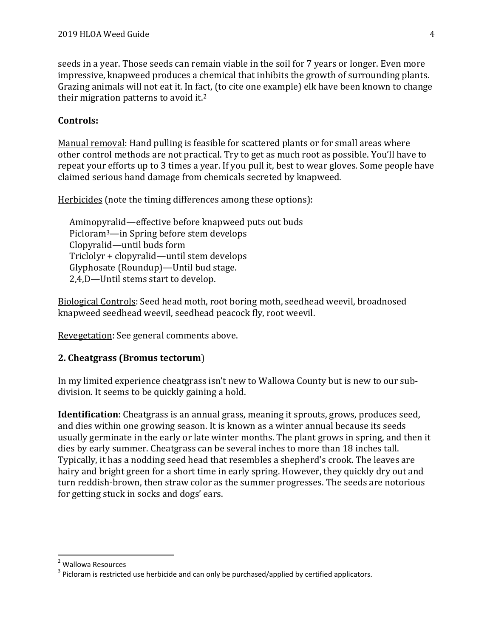seeds in a year. Those seeds can remain viable in the soil for 7 years or longer. Even more impressive, knapweed produces a chemical that inhibits the growth of surrounding plants. Grazing animals will not eat it. In fact, (to cite one example) elk have been known to change their migration patterns to avoid it.<sup>2</sup>

### Controls:

Manual removal: Hand pulling is feasible for scattered plants or for small areas where other control methods are not practical. Try to get as much root as possible. You'll have to repeat your efforts up to 3 times a year. If you pull it, best to wear gloves. Some people have claimed serious hand damage from chemicals secreted by knapweed.

Herbicides (note the timing differences among these options):

Aminopyralid—effective before knapweed puts out buds Picloram3—in Spring before stem develops Clopyralid—until buds form Triclolyr + clopyralid—until stem develops Glyphosate (Roundup)—Until bud stage. 2,4,D—Until stems start to develop.

Biological Controls: Seed head moth, root boring moth, seedhead weevil, broadnosed knapweed seedhead weevil, seedhead peacock fly, root weevil.

Revegetation: See general comments above.

## 2. Cheatgrass (Bromus tectorum)

In my limited experience cheatgrass isn't new to Wallowa County but is new to our subdivision. It seems to be quickly gaining a hold.

Identification: Cheatgrass is an annual grass, meaning it sprouts, grows, produces seed, and dies within one growing season. It is known as a winter annual because its seeds usually germinate in the early or late winter months. The plant grows in spring, and then it dies by early summer. Cheatgrass can be several inches to more than 18 inches tall. Typically, it has a nodding seed head that resembles a shepherd's crook. The leaves are hairy and bright green for a short time in early spring. However, they quickly dry out and turn reddish-brown, then straw color as the summer progresses. The seeds are notorious for getting stuck in socks and dogs' ears.

<sup>2</sup> Wallowa Resources

 $3$  Picloram is restricted use herbicide and can only be purchased/applied by certified applicators.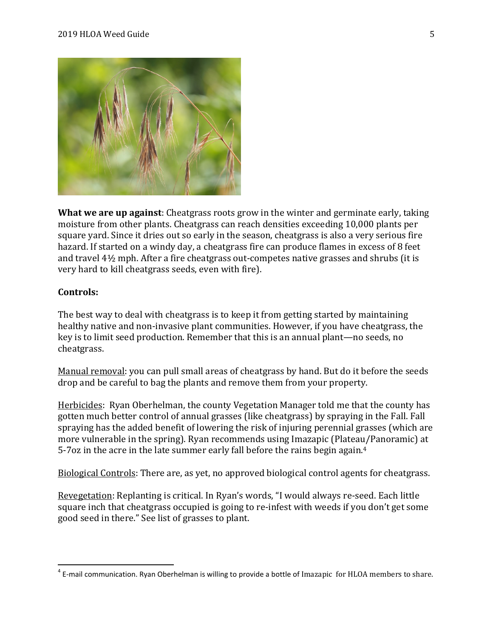

What we are up against: Cheatgrass roots grow in the winter and germinate early, taking moisture from other plants. Cheatgrass can reach densities exceeding 10,000 plants per square yard. Since it dries out so early in the season, cheatgrass is also a very serious fire hazard. If started on a windy day, a cheatgrass fire can produce flames in excess of 8 feet and travel 4½ mph. After a fire cheatgrass out-competes native grasses and shrubs (it is very hard to kill cheatgrass seeds, even with fire).

#### Controls:

The best way to deal with cheatgrass is to keep it from getting started by maintaining healthy native and non-invasive plant communities. However, if you have cheatgrass, the key is to limit seed production. Remember that this is an annual plant—no seeds, no cheatgrass.

Manual removal: you can pull small areas of cheatgrass by hand. But do it before the seeds drop and be careful to bag the plants and remove them from your property.

Herbicides: Ryan Oberhelman, the county Vegetation Manager told me that the county has gotten much better control of annual grasses (like cheatgrass) by spraying in the Fall. Fall spraying has the added benefit of lowering the risk of injuring perennial grasses (which are more vulnerable in the spring). Ryan recommends using Imazapic (Plateau/Panoramic) at 5-7oz in the acre in the late summer early fall before the rains begin again.<sup>4</sup>

Biological Controls: There are, as yet, no approved biological control agents for cheatgrass.

Revegetation: Replanting is critical. In Ryan's words, "I would always re-seed. Each little square inch that cheatgrass occupied is going to re-infest with weeds if you don't get some good seed in there." See list of grasses to plant.

 $^4$  E-mail communication. Ryan Oberhelman is willing to provide a bottle of Imazapic for HLOA members to share.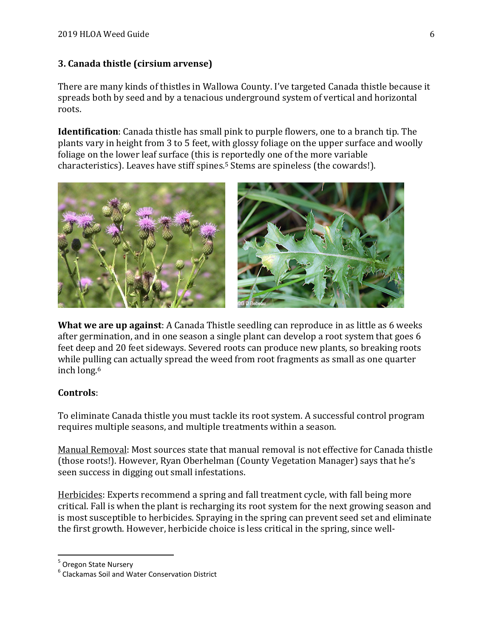## 3. Canada thistle (cirsium arvense)

There are many kinds of thistles in Wallowa County. I've targeted Canada thistle because it spreads both by seed and by a tenacious underground system of vertical and horizontal roots.

Identification: Canada thistle has small pink to purple flowers, one to a branch tip. The plants vary in height from 3 to 5 feet, with glossy foliage on the upper surface and woolly foliage on the lower leaf surface (this is reportedly one of the more variable characteristics). Leaves have stiff spines.5 Stems are spineless (the cowards!).



What we are up against: A Canada Thistle seedling can reproduce in as little as 6 weeks after germination, and in one season a single plant can develop a root system that goes 6 feet deep and 20 feet sideways. Severed roots can produce new plants, so breaking roots while pulling can actually spread the weed from root fragments as small as one quarter inch long.<sup>6</sup>

## Controls:

To eliminate Canada thistle you must tackle its root system. A successful control program requires multiple seasons, and multiple treatments within a season.

Manual Removal: Most sources state that manual removal is not effective for Canada thistle (those roots!). However, Ryan Oberhelman (County Vegetation Manager) says that he's seen success in digging out small infestations.

Herbicides: Experts recommend a spring and fall treatment cycle, with fall being more critical. Fall is when the plant is recharging its root system for the next growing season and is most susceptible to herbicides. Spraying in the spring can prevent seed set and eliminate the first growth. However, herbicide choice is less critical in the spring, since well-

<sup>&</sup>lt;sup>5</sup> Oregon State Nursery

 $<sup>6</sup>$  Clackamas Soil and Water Conservation District</sup>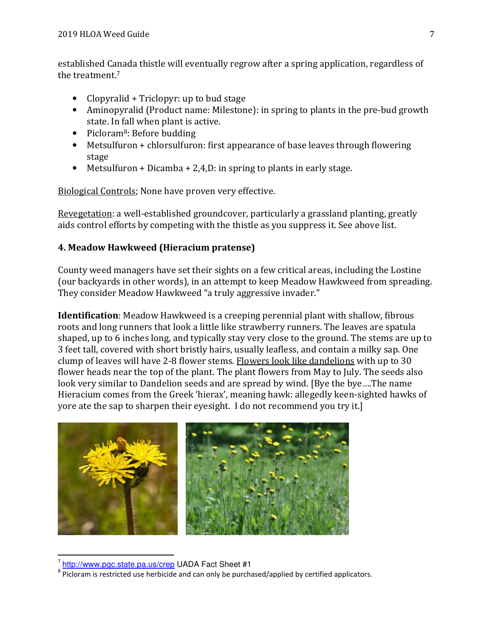established Canada thistle will eventually regrow after a spring application, regardless of the treatment.<sup>7</sup>

- Clopyralid + Triclopyr: up to bud stage
- Aminopyralid (Product name: Milestone): in spring to plants in the pre-bud growth state. In fall when plant is active.
- Picloram<sup>8</sup>: Before budding
- Metsulfuron + chlorsulfuron: first appearance of base leaves through flowering stage
- Metsulfuron + Dicamba + 2,4, D: in spring to plants in early stage.

Biological Controls; None have proven very effective.

Revegetation: a well-established groundcover, particularly a grassland planting, greatly aids control efforts by competing with the thistle as you suppress it. See above list.

# 4. Meadow Hawkweed (Hieracium pratense)

County weed managers have set their sights on a few critical areas, including the Lostine (our backyards in other words), in an attempt to keep Meadow Hawkweed from spreading. They consider Meadow Hawkweed "a truly aggressive invader."

Identification: Meadow Hawkweed is a creeping perennial plant with shallow, fibrous roots and long runners that look a little like strawberry runners. The leaves are spatula shaped, up to 6 inches long, and typically stay very close to the ground. The stems are up to 3 feet tall, covered with short bristly hairs, usually leafless, and contain a milky sap. One clump of leaves will have 2-8 flower stems. Flowers look like dandelions with up to 30 flower heads near the top of the plant. The plant flowers from May to July. The seeds also look very similar to Dandelion seeds and are spread by wind. [Bye the bye….The name Hieracium comes from the Greek 'hierax', meaning hawk: allegedly keen-sighted hawks of yore ate the sap to sharpen their eyesight. I do not recommend you try it.]



<sup>&</sup>lt;sup>7</sup> http://www.pgc.state.pa.us/crep UADA Fact Sheet #1

 $8$  Picloram is restricted use herbicide and can only be purchased/applied by certified applicators.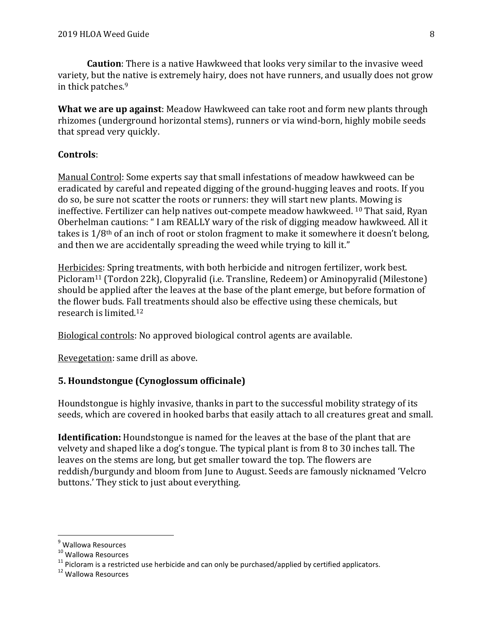Caution: There is a native Hawkweed that looks very similar to the invasive weed variety, but the native is extremely hairy, does not have runners, and usually does not grow in thick patches.<sup>9</sup>

What we are up against: Meadow Hawkweed can take root and form new plants through rhizomes (underground horizontal stems), runners or via wind-born, highly mobile seeds that spread very quickly.

## Controls:

Manual Control: Some experts say that small infestations of meadow hawkweed can be eradicated by careful and repeated digging of the ground-hugging leaves and roots. If you do so, be sure not scatter the roots or runners: they will start new plants. Mowing is ineffective. Fertilizer can help natives out-compete meadow hawkweed. 10 That said, Ryan Oberhelman cautions: " I am REALLY wary of the risk of digging meadow hawkweed. All it takes is 1/8th of an inch of root or stolon fragment to make it somewhere it doesn't belong, and then we are accidentally spreading the weed while trying to kill it."

Herbicides: Spring treatments, with both herbicide and nitrogen fertilizer, work best. Picloram11 (Tordon 22k), Clopyralid (i.e. Transline, Redeem) or Aminopyralid (Milestone) should be applied after the leaves at the base of the plant emerge, but before formation of the flower buds. Fall treatments should also be effective using these chemicals, but research is limited.<sup>12</sup>

Biological controls: No approved biological control agents are available.

Revegetation: same drill as above.

# 5. Houndstongue (Cynoglossum officinale)

Houndstongue is highly invasive, thanks in part to the successful mobility strategy of its seeds, which are covered in hooked barbs that easily attach to all creatures great and small.

Identification: Houndstongue is named for the leaves at the base of the plant that are velvety and shaped like a dog's tongue. The typical plant is from 8 to 30 inches tall. The leaves on the stems are long, but get smaller toward the top. The flowers are reddish/burgundy and bloom from June to August. Seeds are famously nicknamed 'Velcro buttons.' They stick to just about everything.

<sup>&</sup>lt;sup>9</sup> Wallowa Resources

<sup>&</sup>lt;sup>10</sup> Wallowa Resources

 $11$  Picloram is a restricted use herbicide and can only be purchased/applied by certified applicators.

<sup>12</sup> Wallowa Resources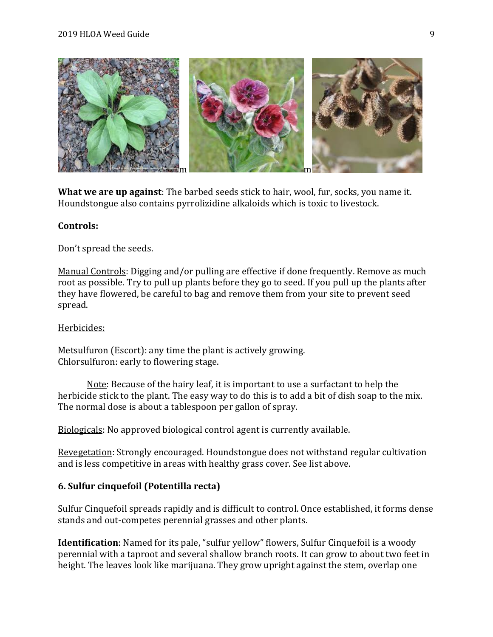#### 2019 HLOA Weed Guide 9



What we are up against: The barbed seeds stick to hair, wool, fur, socks, you name it. Houndstongue also contains pyrrolizidine alkaloids which is toxic to livestock.

#### Controls:

Don't spread the seeds.

Manual Controls: Digging and/or pulling are effective if done frequently. Remove as much root as possible. Try to pull up plants before they go to seed. If you pull up the plants after they have flowered, be careful to bag and remove them from your site to prevent seed spread.

#### Herbicides:

Metsulfuron (Escort): any time the plant is actively growing. Chlorsulfuron: early to flowering stage.

 Note: Because of the hairy leaf, it is important to use a surfactant to help the herbicide stick to the plant. The easy way to do this is to add a bit of dish soap to the mix. The normal dose is about a tablespoon per gallon of spray.

Biologicals: No approved biological control agent is currently available.

Revegetation: Strongly encouraged. Houndstongue does not withstand regular cultivation and is less competitive in areas with healthy grass cover. See list above.

#### 6. Sulfur cinquefoil (Potentilla recta)

Sulfur Cinquefoil spreads rapidly and is difficult to control. Once established, it forms dense stands and out-competes perennial grasses and other plants.

Identification: Named for its pale, "sulfur yellow" flowers, Sulfur Cinquefoil is a woody perennial with a taproot and several shallow branch roots. It can grow to about two feet in height. The leaves look like marijuana. They grow upright against the stem, overlap one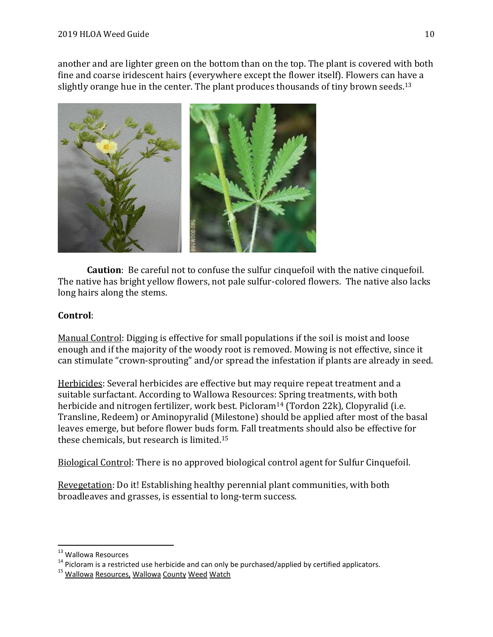another and are lighter green on the bottom than on the top. The plant is covered with both fine and coarse iridescent hairs (everywhere except the flower itself). Flowers can have a slightly orange hue in the center. The plant produces thousands of tiny brown seeds.<sup>13</sup>



Caution: Be careful not to confuse the sulfur cinquefoil with the native cinquefoil. The native has bright yellow flowers, not pale sulfur-colored flowers. The native also lacks long hairs along the stems.

# Control:

Manual Control: Digging is effective for small populations if the soil is moist and loose enough and if the majority of the woody root is removed. Mowing is not effective, since it can stimulate "crown-sprouting" and/or spread the infestation if plants are already in seed.

Herbicides: Several herbicides are effective but may require repeat treatment and a suitable surfactant. According to Wallowa Resources: Spring treatments, with both herbicide and nitrogen fertilizer, work best. Picloram<sup>14</sup> (Tordon 22k), Clopyralid (i.e. Transline, Redeem) or Aminopyralid (Milestone) should be applied after most of the basal leaves emerge, but before flower buds form. Fall treatments should also be effective for these chemicals, but research is limited.<sup>15</sup>

Biological Control: There is no approved biological control agent for Sulfur Cinquefoil.

Revegetation: Do it! Establishing healthy perennial plant communities, with both broadleaves and grasses, is essential to long-term success.

<sup>13</sup> Wallowa Resources

 $14$  Picloram is a restricted use herbicide and can only be purchased/applied by certified applicators.

<sup>&</sup>lt;sup>15</sup> Wallowa Resources, Wallowa County Weed Watch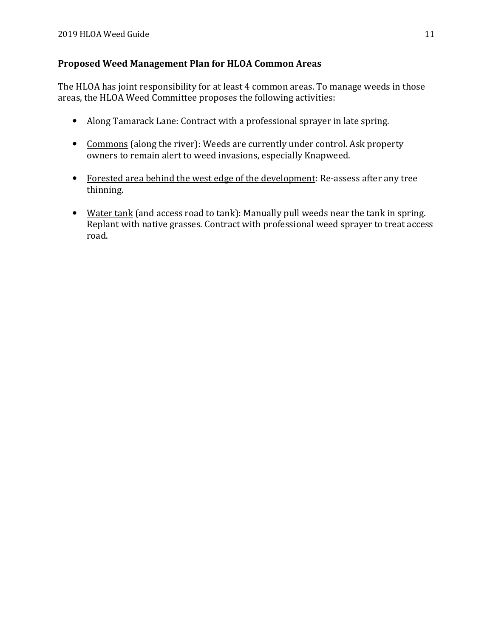# Proposed Weed Management Plan for HLOA Common Areas

The HLOA has joint responsibility for at least 4 common areas. To manage weeds in those areas, the HLOA Weed Committee proposes the following activities:

- Along Tamarack Lane: Contract with a professional sprayer in late spring.
- Commons (along the river): Weeds are currently under control. Ask property owners to remain alert to weed invasions, especially Knapweed.
- Forested area behind the west edge of the development: Re-assess after any tree thinning.
- Water tank (and access road to tank): Manually pull weeds near the tank in spring. Replant with native grasses. Contract with professional weed sprayer to treat access road.